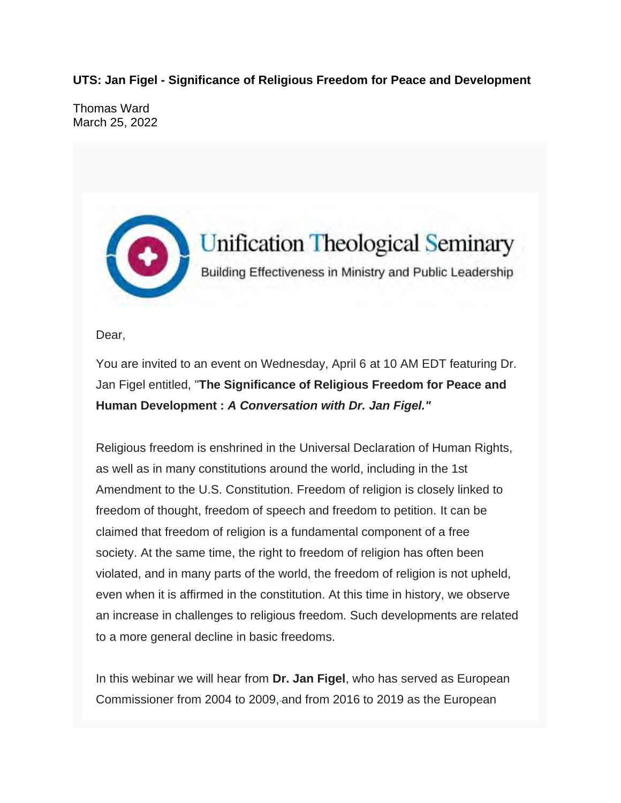**UTS: Jan Figel - Significance of Religious Freedom for Peace and Development**

Thomas Ward March 25, 2022



Dear,

You are invited to an event on Wednesday, April 6 at 10 AM EDT featuring Dr. Jan Figel entitled, "**The Significance of Religious Freedom for Peace and Human Development :** *A Conversation with Dr. Jan Figel."*

Religious freedom is enshrined in the Universal Declaration of Human Rights, as well as in many constitutions around the world, including in the 1st Amendment to the U.S. Constitution. Freedom of religion is closely linked to freedom of thought, freedom of speech and freedom to petition. It can be claimed that freedom of religion is a fundamental component of a free society. At the same time, the right to freedom of religion has often been violated, and in many parts of the world, the freedom of religion is not upheld, even when it is affirmed in the constitution. At this time in history, we observe an increase in challenges to religious freedom. Such developments are related to a more general decline in basic freedoms.

In this webinar we will hear from **Dr. Jan Figel**, who has served as European Commissioner from 2004 to 2009, and from 2016 to 2019 as the European